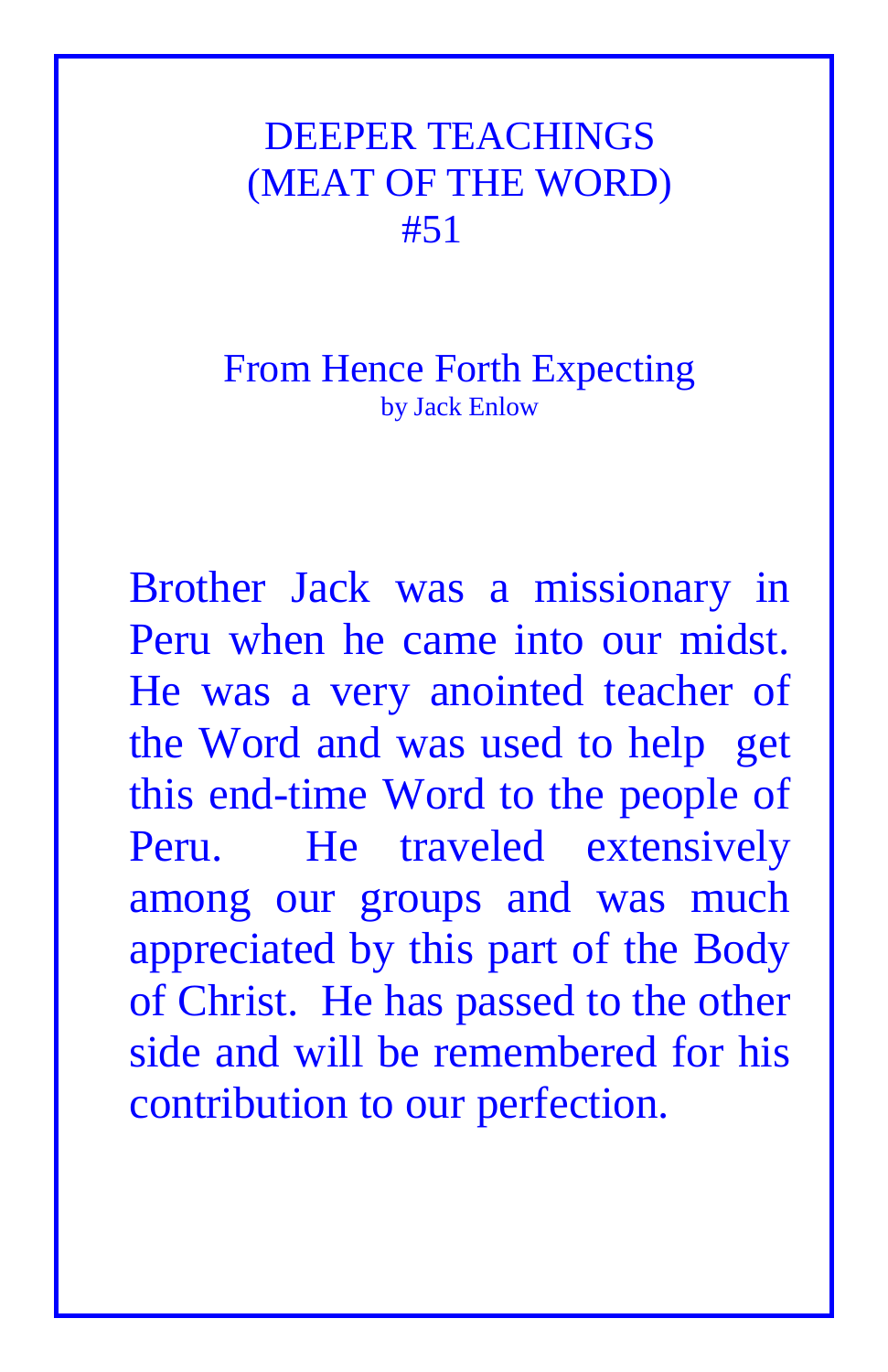## DEEPER TEACHINGS (MEAT OF THE WORD) #51

## From Hence Forth Expecting by Jack Enlow

Brother Jack was a missionary in Peru when he came into our midst. He was a very anointed teacher of the Word and was used to help get this end-time Word to the people of Peru. He traveled extensively among our groups and was much appreciated by this part of the Body of Christ. He has passed to the other side and will be remembered for his contribution to our perfection.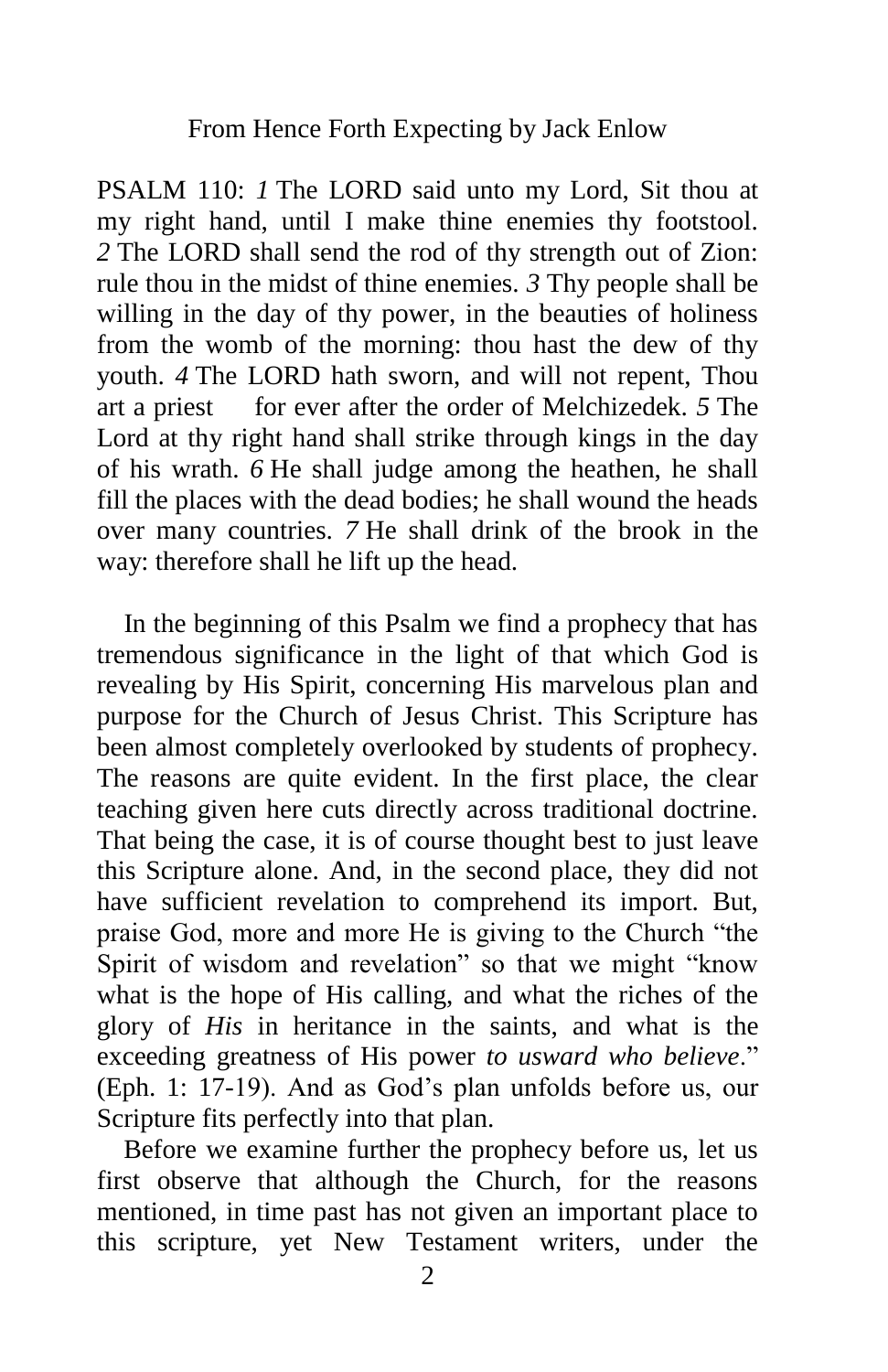PSALM 110: *1* The LORD said unto my Lord, Sit thou at my right hand, until I make thine enemies thy footstool. *2* The LORD shall send the rod of thy strength out of Zion: rule thou in the midst of thine enemies. *3* Thy people shall be willing in the day of thy power, in the beauties of holiness from the womb of the morning: thou hast the dew of thy youth. *4* The LORD hath sworn, and will not repent, Thou art a priest for ever after the order of Melchizedek. *5* The Lord at thy right hand shall strike through kings in the day of his wrath. *6* He shall judge among the heathen, he shall fill the places with the dead bodies; he shall wound the heads over many countries. *7* He shall drink of the brook in the way: therefore shall he lift up the head.

 In the beginning of this Psalm we find a prophecy that has tremendous significance in the light of that which God is revealing by His Spirit, concerning His marvelous plan and purpose for the Church of Jesus Christ. This Scripture has been almost completely overlooked by students of prophecy. The reasons are quite evident. In the first place, the clear teaching given here cuts directly across traditional doctrine. That being the case, it is of course thought best to just leave this Scripture alone. And, in the second place, they did not have sufficient revelation to comprehend its import. But, praise God, more and more He is giving to the Church "the Spirit of wisdom and revelation" so that we might "know what is the hope of His calling, and what the riches of the glory of *His* in heritance in the saints, and what is the exceeding greatness of His power *to usward who believe*." (Eph. 1: 17-19). And as God's plan unfolds before us, our Scripture fits perfectly into that plan.

 Before we examine further the prophecy before us, let us first observe that although the Church, for the reasons mentioned, in time past has not given an important place to this scripture, yet New Testament writers, under the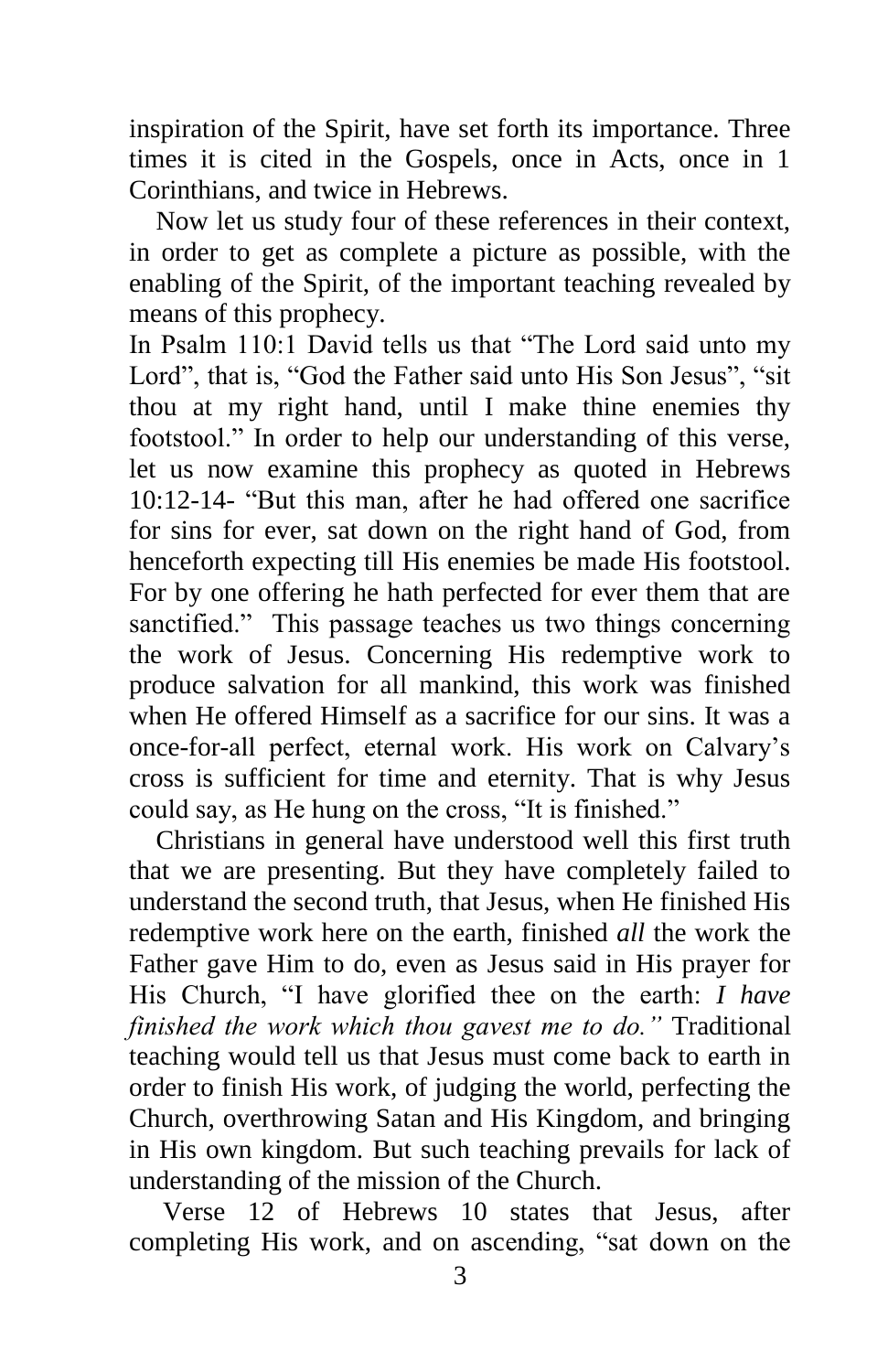inspiration of the Spirit, have set forth its importance. Three times it is cited in the Gospels, once in Acts, once in 1 Corinthians, and twice in Hebrews.

 Now let us study four of these references in their context, in order to get as complete a picture as possible, with the enabling of the Spirit, of the important teaching revealed by means of this prophecy.

In Psalm 110:1 David tells us that "The Lord said unto my Lord", that is, "God the Father said unto His Son Jesus", "sit thou at my right hand, until I make thine enemies thy footstool." In order to help our understanding of this verse, let us now examine this prophecy as quoted in Hebrews 10:12-14- "But this man, after he had offered one sacrifice for sins for ever, sat down on the right hand of God, from henceforth expecting till His enemies be made His footstool. For by one offering he hath perfected for ever them that are sanctified." This passage teaches us two things concerning the work of Jesus. Concerning His redemptive work to produce salvation for all mankind, this work was finished when He offered Himself as a sacrifice for our sins. It was a once-for-all perfect, eternal work. His work on Calvary's cross is sufficient for time and eternity. That is why Jesus could say, as He hung on the cross, "It is finished."

 Christians in general have understood well this first truth that we are presenting. But they have completely failed to understand the second truth, that Jesus, when He finished His redemptive work here on the earth, finished *all* the work the Father gave Him to do, even as Jesus said in His prayer for His Church, "I have glorified thee on the earth: *I have finished the work which thou gavest me to do."* Traditional teaching would tell us that Jesus must come back to earth in order to finish His work, of judging the world, perfecting the Church, overthrowing Satan and His Kingdom, and bringing in His own kingdom. But such teaching prevails for lack of understanding of the mission of the Church.

 Verse 12 of Hebrews 10 states that Jesus, after completing His work, and on ascending, "sat down on the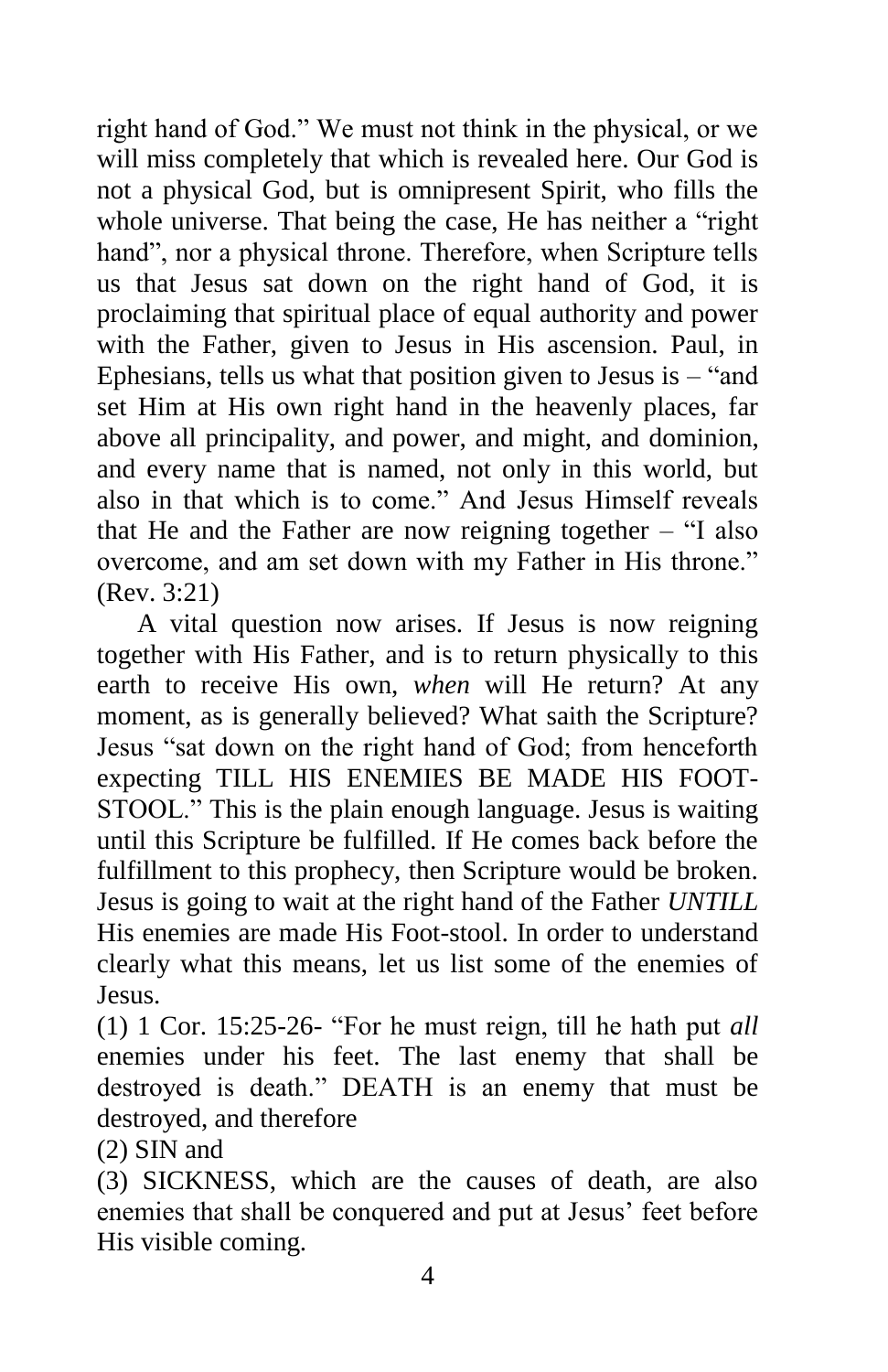right hand of God." We must not think in the physical, or we will miss completely that which is revealed here. Our God is not a physical God, but is omnipresent Spirit, who fills the whole universe. That being the case, He has neither a "right hand", nor a physical throne. Therefore, when Scripture tells us that Jesus sat down on the right hand of God, it is proclaiming that spiritual place of equal authority and power with the Father, given to Jesus in His ascension. Paul, in Ephesians, tells us what that position given to Jesus is – "and set Him at His own right hand in the heavenly places, far above all principality, and power, and might, and dominion, and every name that is named, not only in this world, but also in that which is to come." And Jesus Himself reveals that He and the Father are now reigning together – "I also overcome, and am set down with my Father in His throne." (Rev. 3:21)

 A vital question now arises. If Jesus is now reigning together with His Father, and is to return physically to this earth to receive His own, *when* will He return? At any moment, as is generally believed? What saith the Scripture? Jesus "sat down on the right hand of God; from henceforth expecting TILL HIS ENEMIES BE MADE HIS FOOT-STOOL." This is the plain enough language. Jesus is waiting until this Scripture be fulfilled. If He comes back before the fulfillment to this prophecy, then Scripture would be broken. Jesus is going to wait at the right hand of the Father *UNTILL* His enemies are made His Foot-stool. In order to understand clearly what this means, let us list some of the enemies of Jesus.

(1) 1 Cor. 15:25-26- "For he must reign, till he hath put *all*  enemies under his feet. The last enemy that shall be destroyed is death." DEATH is an enemy that must be destroyed, and therefore

(2) SIN and

(3) SICKNESS, which are the causes of death, are also enemies that shall be conquered and put at Jesus' feet before His visible coming.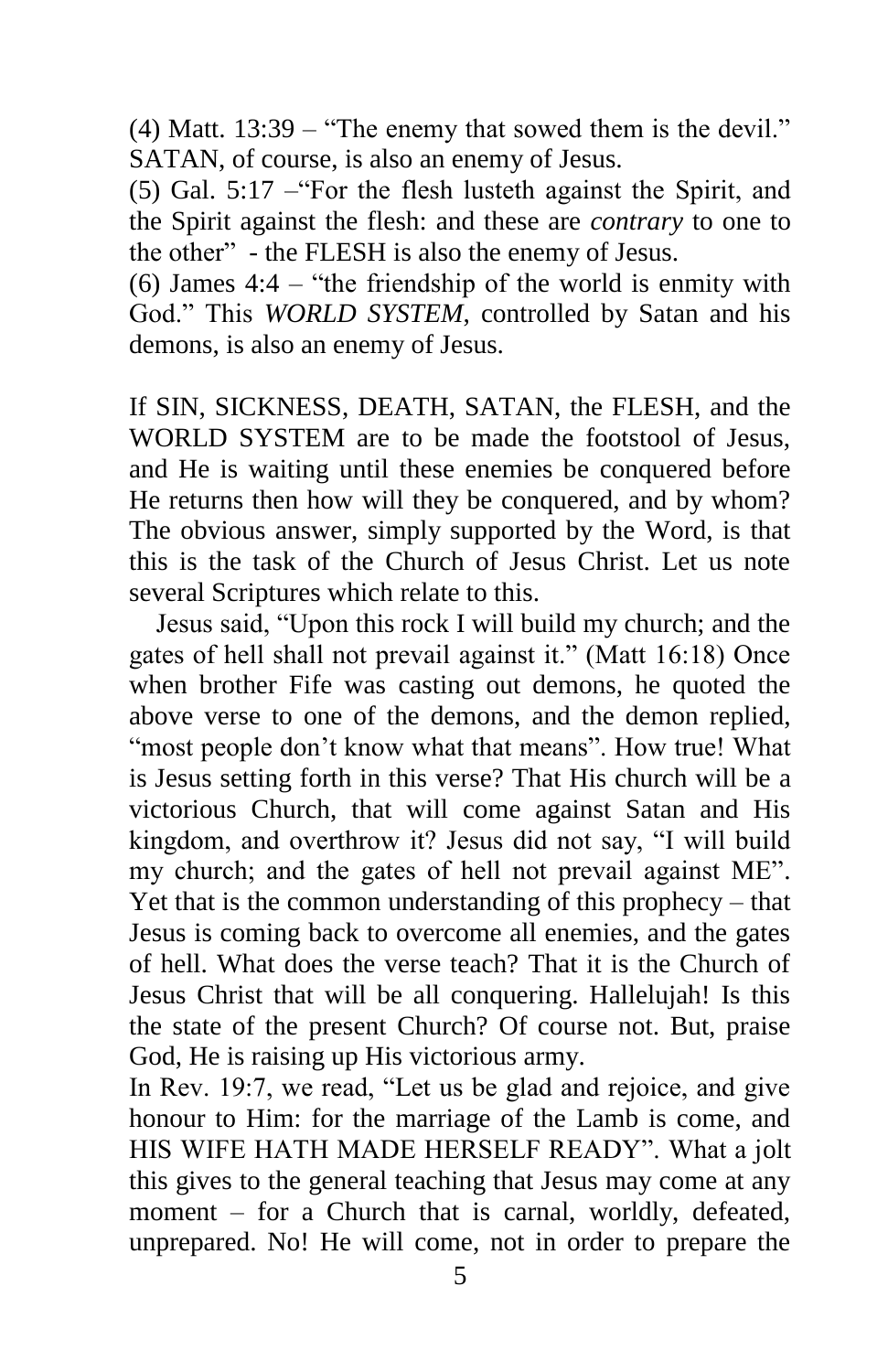(4) Matt. 13:39 – "The enemy that sowed them is the devil." SATAN, of course, is also an enemy of Jesus.

(5) Gal. 5:17 –"For the flesh lusteth against the Spirit, and the Spirit against the flesh: and these are *contrary* to one to the other" - the FLESH is also the enemy of Jesus.

(6) James 4:4 – "the friendship of the world is enmity with God." This *WORLD SYSTEM*, controlled by Satan and his demons, is also an enemy of Jesus.

If SIN, SICKNESS, DEATH, SATAN, the FLESH, and the WORLD SYSTEM are to be made the footstool of Jesus, and He is waiting until these enemies be conquered before He returns then how will they be conquered, and by whom? The obvious answer, simply supported by the Word, is that this is the task of the Church of Jesus Christ. Let us note several Scriptures which relate to this.

 Jesus said, "Upon this rock I will build my church; and the gates of hell shall not prevail against it." (Matt 16:18) Once when brother Fife was casting out demons, he quoted the above verse to one of the demons, and the demon replied, "most people don't know what that means". How true! What is Jesus setting forth in this verse? That His church will be a victorious Church, that will come against Satan and His kingdom, and overthrow it? Jesus did not say, "I will build my church; and the gates of hell not prevail against ME". Yet that is the common understanding of this prophecy – that Jesus is coming back to overcome all enemies, and the gates of hell. What does the verse teach? That it is the Church of Jesus Christ that will be all conquering. Hallelujah! Is this the state of the present Church? Of course not. But, praise God, He is raising up His victorious army.

In Rev. 19:7, we read, "Let us be glad and rejoice, and give honour to Him: for the marriage of the Lamb is come, and HIS WIFE HATH MADE HERSELF READY". What a jolt this gives to the general teaching that Jesus may come at any moment – for a Church that is carnal, worldly, defeated, unprepared. No! He will come, not in order to prepare the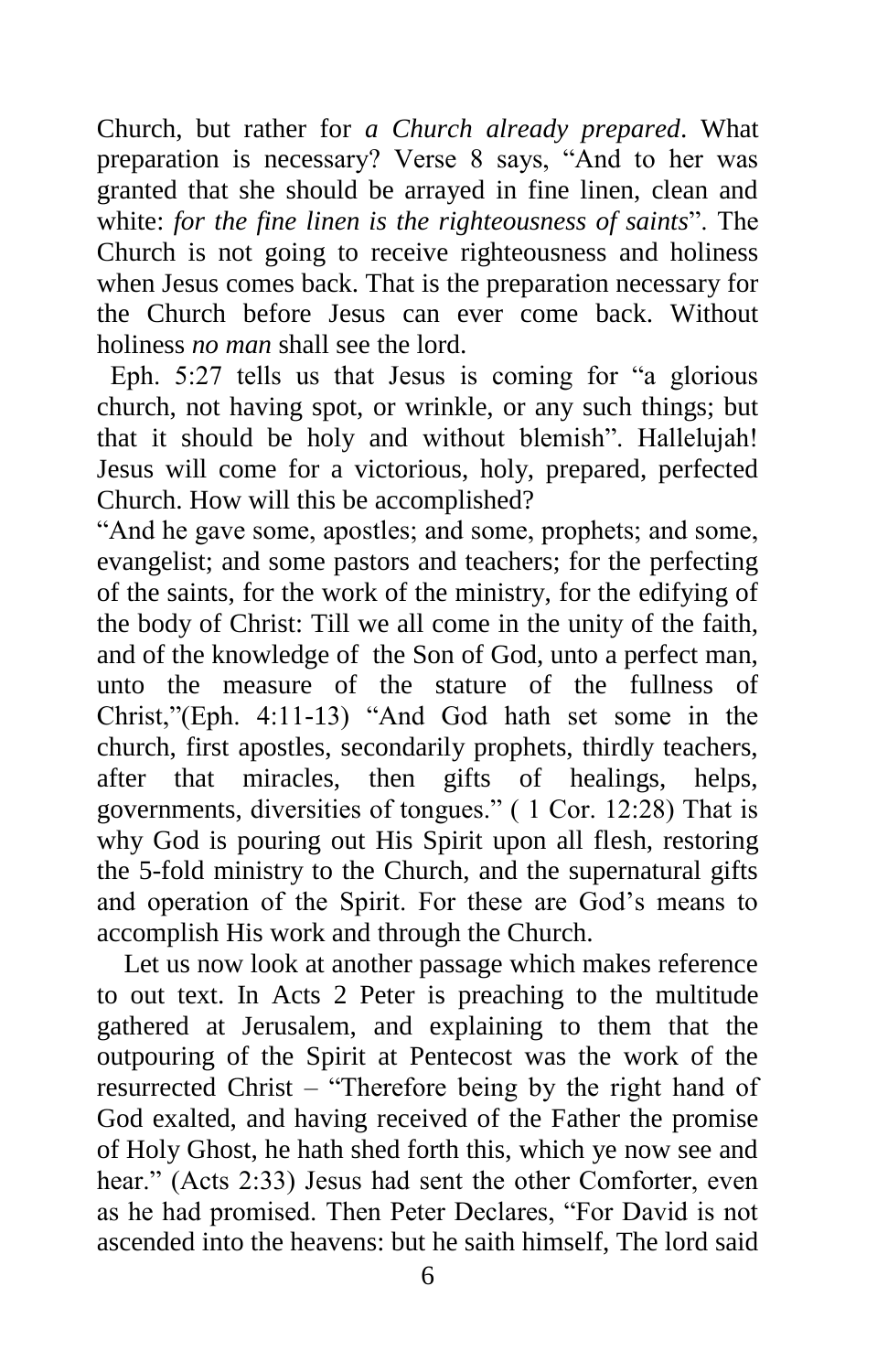Church, but rather for *a Church already prepared*. What preparation is necessary? Verse 8 says, "And to her was granted that she should be arrayed in fine linen, clean and white: *for the fine linen is the righteousness of saints*". The Church is not going to receive righteousness and holiness when Jesus comes back. That is the preparation necessary for the Church before Jesus can ever come back. Without holiness *no man* shall see the lord.

 Eph. 5:27 tells us that Jesus is coming for "a glorious church, not having spot, or wrinkle, or any such things; but that it should be holy and without blemish". Hallelujah! Jesus will come for a victorious, holy, prepared, perfected Church. How will this be accomplished?

"And he gave some, apostles; and some, prophets; and some, evangelist; and some pastors and teachers; for the perfecting of the saints, for the work of the ministry, for the edifying of the body of Christ: Till we all come in the unity of the faith, and of the knowledge of the Son of God, unto a perfect man, unto the measure of the stature of the fullness of Christ,"(Eph. 4:11-13) "And God hath set some in the church, first apostles, secondarily prophets, thirdly teachers, after that miracles, then gifts of healings, helps, governments, diversities of tongues." ( 1 Cor. 12:28) That is why God is pouring out His Spirit upon all flesh, restoring the 5-fold ministry to the Church, and the supernatural gifts and operation of the Spirit. For these are God's means to accomplish His work and through the Church.

 Let us now look at another passage which makes reference to out text. In Acts 2 Peter is preaching to the multitude gathered at Jerusalem, and explaining to them that the outpouring of the Spirit at Pentecost was the work of the resurrected Christ – "Therefore being by the right hand of God exalted, and having received of the Father the promise of Holy Ghost, he hath shed forth this, which ye now see and hear." (Acts 2:33) Jesus had sent the other Comforter, even as he had promised. Then Peter Declares, "For David is not ascended into the heavens: but he saith himself, The lord said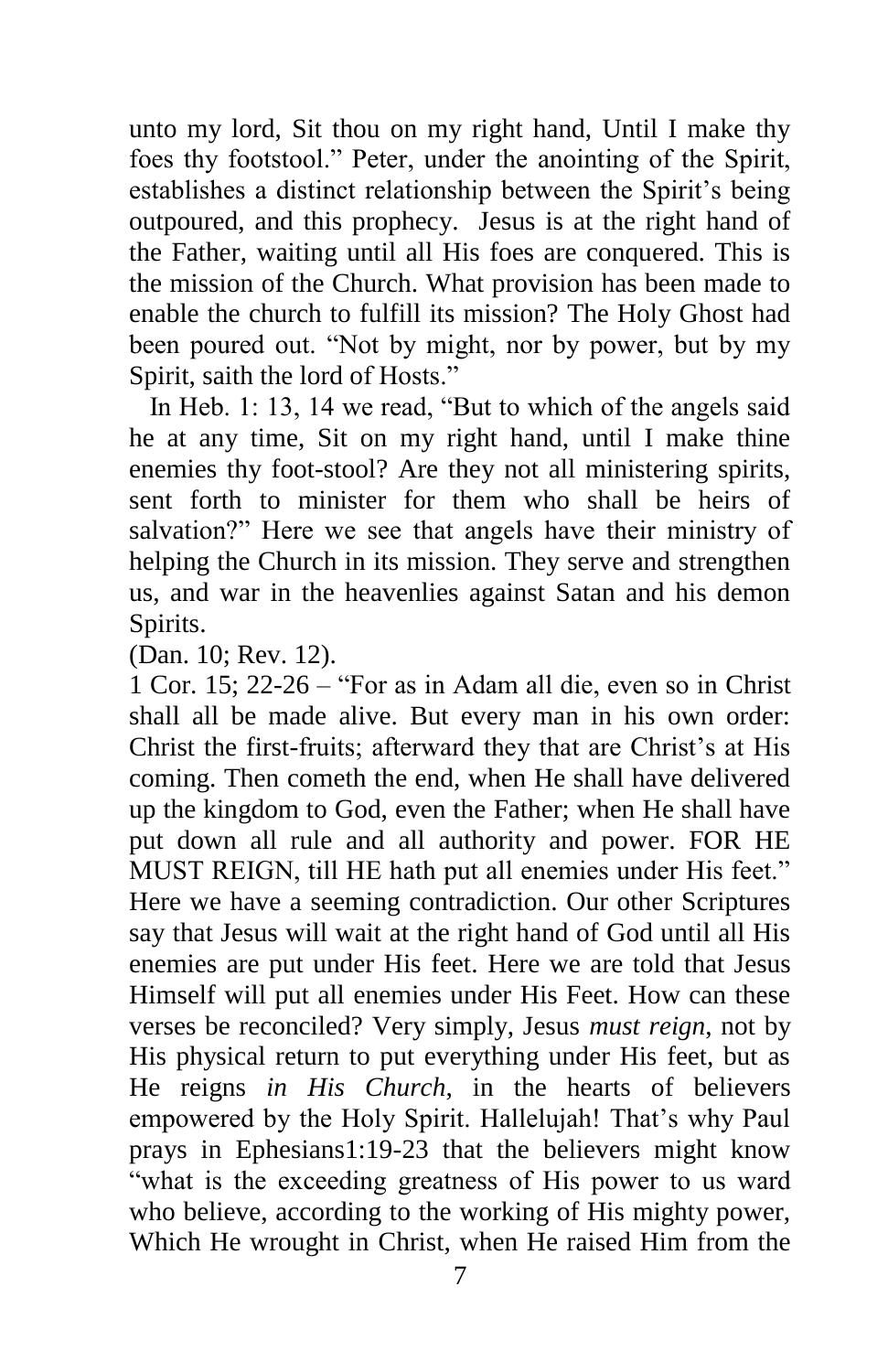unto my lord, Sit thou on my right hand, Until I make thy foes thy footstool." Peter, under the anointing of the Spirit, establishes a distinct relationship between the Spirit's being outpoured, and this prophecy. Jesus is at the right hand of the Father, waiting until all His foes are conquered. This is the mission of the Church. What provision has been made to enable the church to fulfill its mission? The Holy Ghost had been poured out. "Not by might, nor by power, but by my Spirit, saith the lord of Hosts."

 In Heb. 1: 13, 14 we read, "But to which of the angels said he at any time, Sit on my right hand, until I make thine enemies thy foot-stool? Are they not all ministering spirits, sent forth to minister for them who shall be heirs of salvation?" Here we see that angels have their ministry of helping the Church in its mission. They serve and strengthen us, and war in the heavenlies against Satan and his demon Spirits.

(Dan. 10; Rev. 12).

1 Cor. 15; 22-26 – "For as in Adam all die, even so in Christ shall all be made alive. But every man in his own order: Christ the first-fruits; afterward they that are Christ's at His coming. Then cometh the end, when He shall have delivered up the kingdom to God, even the Father; when He shall have put down all rule and all authority and power. FOR HE MUST REIGN, till HE hath put all enemies under His feet." Here we have a seeming contradiction. Our other Scriptures say that Jesus will wait at the right hand of God until all His enemies are put under His feet. Here we are told that Jesus Himself will put all enemies under His Feet. How can these verses be reconciled? Very simply, Jesus *must reign*, not by His physical return to put everything under His feet, but as He reigns *in His Church*, in the hearts of believers empowered by the Holy Spirit. Hallelujah! That's why Paul prays in Ephesians1:19-23 that the believers might know "what is the exceeding greatness of His power to us ward who believe, according to the working of His mighty power, Which He wrought in Christ, when He raised Him from the